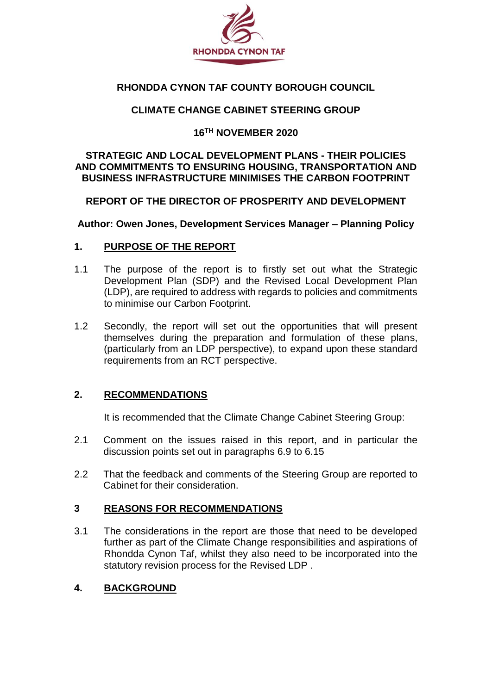

# **RHONDDA CYNON TAF COUNTY BOROUGH COUNCIL**

## **CLIMATE CHANGE CABINET STEERING GROUP**

#### **16TH NOVEMBER 2020**

#### **STRATEGIC AND LOCAL DEVELOPMENT PLANS - THEIR POLICIES AND COMMITMENTS TO ENSURING HOUSING, TRANSPORTATION AND BUSINESS INFRASTRUCTURE MINIMISES THE CARBON FOOTPRINT**

## **REPORT OF THE DIRECTOR OF PROSPERITY AND DEVELOPMENT**

**Author: Owen Jones, Development Services Manager – Planning Policy**

#### **1. PURPOSE OF THE REPORT**

- 1.1 The purpose of the report is to firstly set out what the Strategic Development Plan (SDP) and the Revised Local Development Plan (LDP), are required to address with regards to policies and commitments to minimise our Carbon Footprint.
- 1.2 Secondly, the report will set out the opportunities that will present themselves during the preparation and formulation of these plans, (particularly from an LDP perspective), to expand upon these standard requirements from an RCT perspective.

## **2. RECOMMENDATIONS**

It is recommended that the Climate Change Cabinet Steering Group:

- 2.1 Comment on the issues raised in this report, and in particular the discussion points set out in paragraphs 6.9 to 6.15
- 2.2 That the feedback and comments of the Steering Group are reported to Cabinet for their consideration.

## **3 REASONS FOR RECOMMENDATIONS**

3.1 The considerations in the report are those that need to be developed further as part of the Climate Change responsibilities and aspirations of Rhondda Cynon Taf, whilst they also need to be incorporated into the statutory revision process for the Revised LDP .

## **4. BACKGROUND**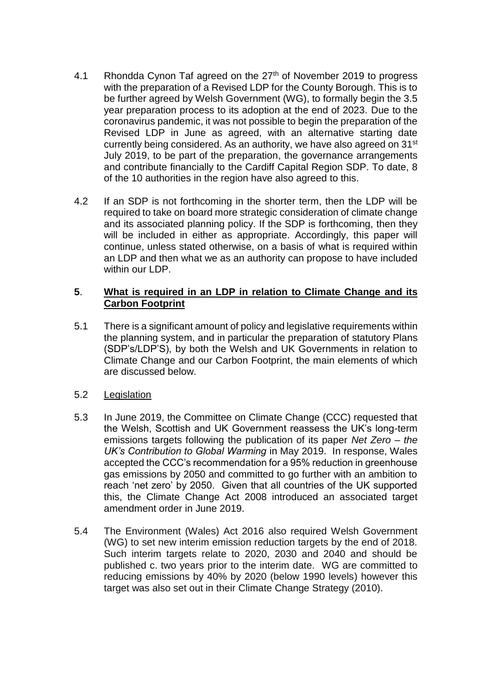- 4.1 Rhondda Cynon Taf agreed on the 27<sup>th</sup> of November 2019 to progress with the preparation of a Revised LDP for the County Borough. This is to be further agreed by Welsh Government (WG), to formally begin the 3.5 year preparation process to its adoption at the end of 2023. Due to the coronavirus pandemic, it was not possible to begin the preparation of the Revised LDP in June as agreed, with an alternative starting date currently being considered. As an authority, we have also agreed on 31<sup>st</sup> July 2019, to be part of the preparation, the governance arrangements and contribute financially to the Cardiff Capital Region SDP. To date, 8 of the 10 authorities in the region have also agreed to this.
- 4.2 If an SDP is not forthcoming in the shorter term, then the LDP will be required to take on board more strategic consideration of climate change and its associated planning policy. If the SDP is forthcoming, then they will be included in either as appropriate. Accordingly, this paper will continue, unless stated otherwise, on a basis of what is required within an LDP and then what we as an authority can propose to have included within our LDP.

# **5**. **What is required in an LDP in relation to Climate Change and its Carbon Footprint**

- 5.1 There is a significant amount of policy and legislative requirements within the planning system, and in particular the preparation of statutory Plans (SDP's/LDP'S), by both the Welsh and UK Governments in relation to Climate Change and our Carbon Footprint, the main elements of which are discussed below.
- 5.2 Legislation
- 5.3 In June 2019, the Committee on Climate Change (CCC) requested that the Welsh, Scottish and UK Government reassess the UK's long-term emissions targets following the publication of its paper *Net Zero – the UK's Contribution to Global Warming* in May 2019. In response, Wales accepted the CCC's recommendation for a 95% reduction in greenhouse gas emissions by 2050 and committed to go further with an ambition to reach 'net zero' by 2050. Given that all countries of the UK supported this, the Climate Change Act 2008 introduced an associated target amendment order in June 2019.
- 5.4 The Environment (Wales) Act 2016 also required Welsh Government (WG) to set new interim emission reduction targets by the end of 2018. Such interim targets relate to 2020, 2030 and 2040 and should be published c. two years prior to the interim date. WG are committed to reducing emissions by 40% by 2020 (below 1990 levels) however this target was also set out in their Climate Change Strategy (2010).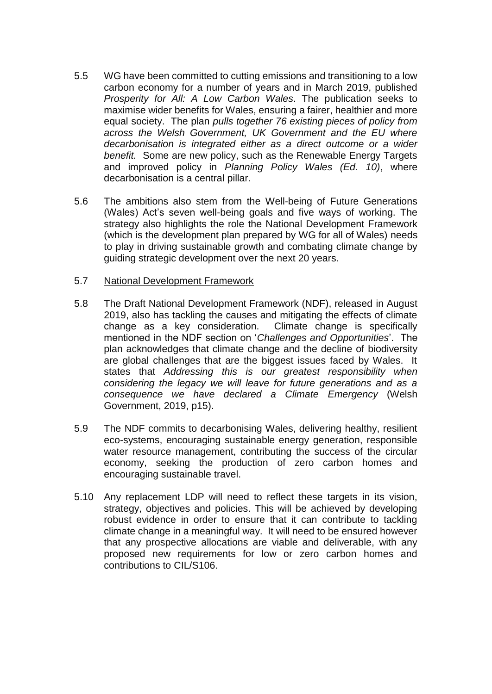- 5.5 WG have been committed to cutting emissions and transitioning to a low carbon economy for a number of years and in March 2019, published *Prosperity for All: A Low Carbon Wales*. The publication seeks to maximise wider benefits for Wales, ensuring a fairer, healthier and more equal society. The plan *pulls together 76 existing pieces of policy from across the Welsh Government, UK Government and the EU where decarbonisation is integrated either as a direct outcome or a wider benefit.* Some are new policy, such as the Renewable Energy Targets and improved policy in *Planning Policy Wales (Ed. 10)*, where decarbonisation is a central pillar.
- 5.6 The ambitions also stem from the Well-being of Future Generations (Wales) Act's seven well-being goals and five ways of working. The strategy also highlights the role the National Development Framework (which is the development plan prepared by WG for all of Wales) needs to play in driving sustainable growth and combating climate change by guiding strategic development over the next 20 years.

#### 5.7 National Development Framework

- 5.8 The Draft National Development Framework (NDF), released in August 2019, also has tackling the causes and mitigating the effects of climate change as a key consideration. Climate change is specifically mentioned in the NDF section on '*Challenges and Opportunities*'. The plan acknowledges that climate change and the decline of biodiversity are global challenges that are the biggest issues faced by Wales. It states that *Addressing this is our greatest responsibility when considering the legacy we will leave for future generations and as a consequence we have declared a Climate Emergency* (Welsh Government, 2019, p15).
- 5.9 The NDF commits to decarbonising Wales, delivering healthy, resilient eco-systems, encouraging sustainable energy generation, responsible water resource management, contributing the success of the circular economy, seeking the production of zero carbon homes and encouraging sustainable travel.
- 5.10 Any replacement LDP will need to reflect these targets in its vision, strategy, objectives and policies. This will be achieved by developing robust evidence in order to ensure that it can contribute to tackling climate change in a meaningful way. It will need to be ensured however that any prospective allocations are viable and deliverable, with any proposed new requirements for low or zero carbon homes and contributions to CIL/S106.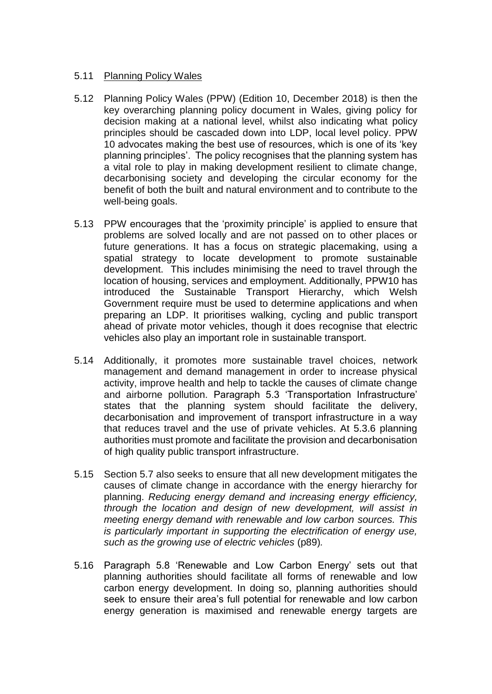## 5.11 Planning Policy Wales

- 5.12 Planning Policy Wales (PPW) (Edition 10, December 2018) is then the key overarching planning policy document in Wales, giving policy for decision making at a national level, whilst also indicating what policy principles should be cascaded down into LDP, local level policy. PPW 10 advocates making the best use of resources, which is one of its 'key planning principles'. The policy recognises that the planning system has a vital role to play in making development resilient to climate change, decarbonising society and developing the circular economy for the benefit of both the built and natural environment and to contribute to the well-being goals.
- 5.13 PPW encourages that the 'proximity principle' is applied to ensure that problems are solved locally and are not passed on to other places or future generations. It has a focus on strategic placemaking, using a spatial strategy to locate development to promote sustainable development. This includes minimising the need to travel through the location of housing, services and employment. Additionally, PPW10 has introduced the Sustainable Transport Hierarchy, which Welsh Government require must be used to determine applications and when preparing an LDP. It prioritises walking, cycling and public transport ahead of private motor vehicles, though it does recognise that electric vehicles also play an important role in sustainable transport.
- 5.14 Additionally, it promotes more sustainable travel choices, network management and demand management in order to increase physical activity, improve health and help to tackle the causes of climate change and airborne pollution. Paragraph 5.3 'Transportation Infrastructure' states that the planning system should facilitate the delivery, decarbonisation and improvement of transport infrastructure in a way that reduces travel and the use of private vehicles. At 5.3.6 planning authorities must promote and facilitate the provision and decarbonisation of high quality public transport infrastructure.
- 5.15 Section 5.7 also seeks to ensure that all new development mitigates the causes of climate change in accordance with the energy hierarchy for planning. *Reducing energy demand and increasing energy efficiency, through the location and design of new development, will assist in meeting energy demand with renewable and low carbon sources. This is particularly important in supporting the electrification of energy use, such as the growing use of electric vehicles* (p89)*.*
- 5.16 Paragraph 5.8 'Renewable and Low Carbon Energy' sets out that planning authorities should facilitate all forms of renewable and low carbon energy development. In doing so, planning authorities should seek to ensure their area's full potential for renewable and low carbon energy generation is maximised and renewable energy targets are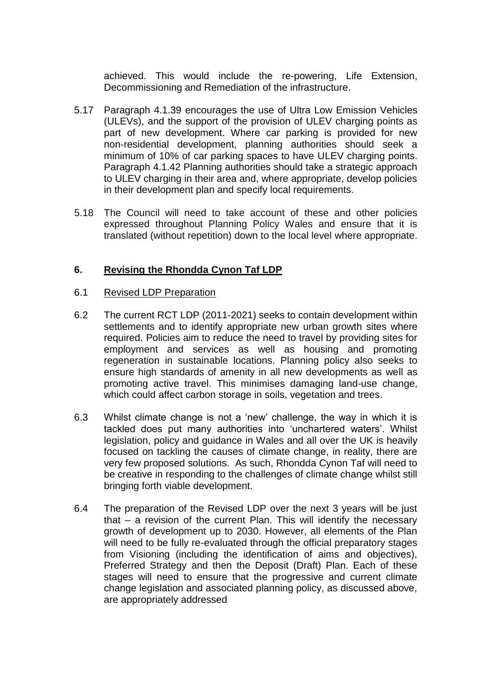achieved. This would include the re-powering, Life Extension, Decommissioning and Remediation of the infrastructure.

- 5.17 Paragraph 4.1.39 encourages the use of Ultra Low Emission Vehicles (ULEVs), and the support of the provision of ULEV charging points as part of new development. Where car parking is provided for new non‑residential development, planning authorities should seek a minimum of 10% of car parking spaces to have ULEV charging points. Paragraph 4.1.42 Planning authorities should take a strategic approach to ULEV charging in their area and, where appropriate, develop policies in their development plan and specify local requirements.
- 5.18 The Council will need to take account of these and other policies expressed throughout Planning Policy Wales and ensure that it is translated (without repetition) down to the local level where appropriate.

# **6. Revising the Rhondda Cynon Taf LDP**

## 6.1 Revised LDP Preparation

- 6.2 The current RCT LDP (2011-2021) seeks to contain development within settlements and to identify appropriate new urban growth sites where required. Policies aim to reduce the need to travel by providing sites for employment and services as well as housing and promoting regeneration in sustainable locations. Planning policy also seeks to ensure high standards of amenity in all new developments as well as promoting active travel. This minimises damaging land-use change, which could affect carbon storage in soils, vegetation and trees.
- 6.3 Whilst climate change is not a 'new' challenge, the way in which it is tackled does put many authorities into 'unchartered waters'. Whilst legislation, policy and guidance in Wales and all over the UK is heavily focused on tackling the causes of climate change, in reality, there are very few proposed solutions. As such, Rhondda Cynon Taf will need to be creative in responding to the challenges of climate change whilst still bringing forth viable development.
- 6.4 The preparation of the Revised LDP over the next 3 years will be just that – a revision of the current Plan. This will identify the necessary growth of development up to 2030. However, all elements of the Plan will need to be fully re-evaluated through the official preparatory stages from Visioning (including the identification of aims and objectives), Preferred Strategy and then the Deposit (Draft) Plan. Each of these stages will need to ensure that the progressive and current climate change legislation and associated planning policy, as discussed above, are appropriately addressed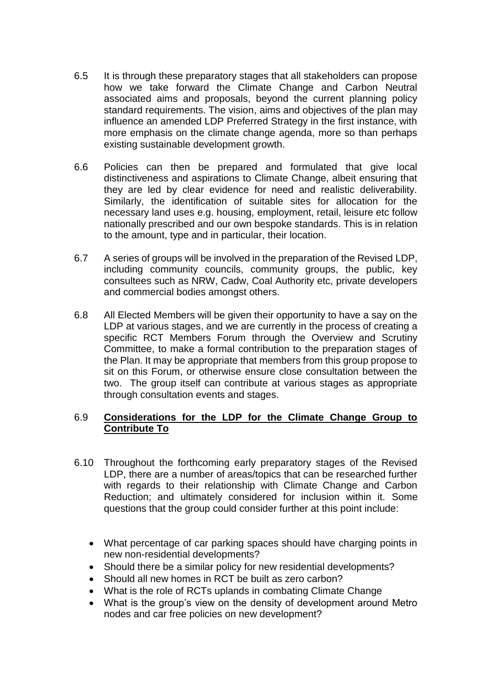- 6.5 It is through these preparatory stages that all stakeholders can propose how we take forward the Climate Change and Carbon Neutral associated aims and proposals, beyond the current planning policy standard requirements. The vision, aims and objectives of the plan may influence an amended LDP Preferred Strategy in the first instance, with more emphasis on the climate change agenda, more so than perhaps existing sustainable development growth.
- 6.6 Policies can then be prepared and formulated that give local distinctiveness and aspirations to Climate Change, albeit ensuring that they are led by clear evidence for need and realistic deliverability. Similarly, the identification of suitable sites for allocation for the necessary land uses e.g. housing, employment, retail, leisure etc follow nationally prescribed and our own bespoke standards. This is in relation to the amount, type and in particular, their location.
- 6.7 A series of groups will be involved in the preparation of the Revised LDP, including community councils, community groups, the public, key consultees such as NRW, Cadw, Coal Authority etc, private developers and commercial bodies amongst others.
- 6.8 All Elected Members will be given their opportunity to have a say on the LDP at various stages, and we are currently in the process of creating a specific RCT Members Forum through the Overview and Scrutiny Committee, to make a formal contribution to the preparation stages of the Plan. It may be appropriate that members from this group propose to sit on this Forum, or otherwise ensure close consultation between the two. The group itself can contribute at various stages as appropriate through consultation events and stages.

# 6.9 **Considerations for the LDP for the Climate Change Group to Contribute To**

- 6.10 Throughout the forthcoming early preparatory stages of the Revised LDP, there are a number of areas/topics that can be researched further with regards to their relationship with Climate Change and Carbon Reduction; and ultimately considered for inclusion within it. Some questions that the group could consider further at this point include:
	- What percentage of car parking spaces should have charging points in new non-residential developments?
	- Should there be a similar policy for new residential developments?
	- Should all new homes in RCT be built as zero carbon?
	- What is the role of RCTs uplands in combating Climate Change
	- What is the group's view on the density of development around Metro nodes and car free policies on new development?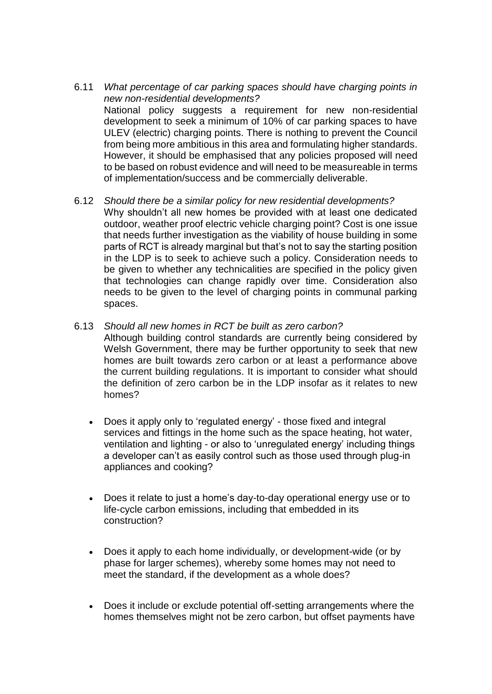- 6.11 *What percentage of car parking spaces should have charging points in new non-residential developments?* National policy suggests a requirement for new non-residential development to seek a minimum of 10% of car parking spaces to have ULEV (electric) charging points. There is nothing to prevent the Council from being more ambitious in this area and formulating higher standards. However, it should be emphasised that any policies proposed will need to be based on robust evidence and will need to be measureable in terms of implementation/success and be commercially deliverable.
- 6.12 *Should there be a similar policy for new residential developments?* Why shouldn't all new homes be provided with at least one dedicated outdoor, weather proof electric vehicle charging point? Cost is one issue that needs further investigation as the viability of house building in some parts of RCT is already marginal but that's not to say the starting position in the LDP is to seek to achieve such a policy. Consideration needs to be given to whether any technicalities are specified in the policy given that technologies can change rapidly over time. Consideration also needs to be given to the level of charging points in communal parking spaces.
- 6.13 *Should all new homes in RCT be built as zero carbon?*
	- Although building control standards are currently being considered by Welsh Government, there may be further opportunity to seek that new homes are built towards zero carbon or at least a performance above the current building regulations. It is important to consider what should the definition of zero carbon be in the LDP insofar as it relates to new homes?
	- Does it apply only to 'regulated energy' those fixed and integral services and fittings in the home such as the space heating, hot water, ventilation and lighting - or also to 'unregulated energy' including things a developer can't as easily control such as those used through plug-in appliances and cooking?
	- Does it relate to just a home's day-to-day operational energy use or to life-cycle carbon emissions, including that embedded in its construction?
	- Does it apply to each home individually, or development-wide (or by phase for larger schemes), whereby some homes may not need to meet the standard, if the development as a whole does?
	- Does it include or exclude potential off-setting arrangements where the homes themselves might not be zero carbon, but offset payments have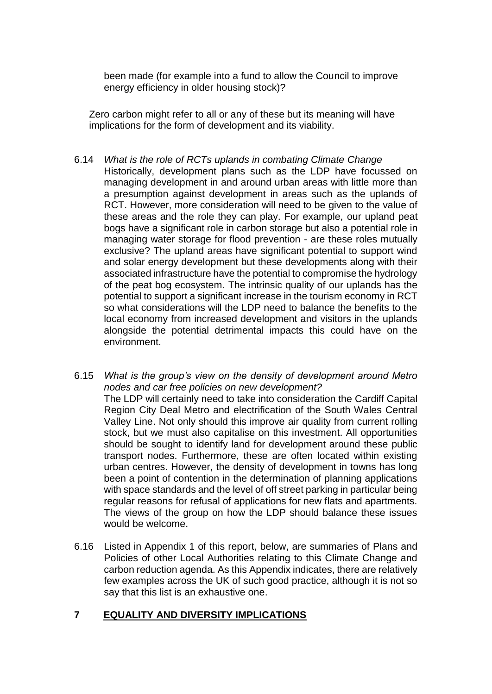been made (for example into a fund to allow the Council to improve energy efficiency in older housing stock)?

Zero carbon might refer to all or any of these but its meaning will have implications for the form of development and its viability.

- 6.14 *What is the role of RCTs uplands in combating Climate Change* Historically, development plans such as the LDP have focussed on managing development in and around urban areas with little more than a presumption against development in areas such as the uplands of RCT. However, more consideration will need to be given to the value of these areas and the role they can play. For example, our upland peat bogs have a significant role in carbon storage but also a potential role in managing water storage for flood prevention - are these roles mutually exclusive? The upland areas have significant potential to support wind and solar energy development but these developments along with their associated infrastructure have the potential to compromise the hydrology of the peat bog ecosystem. The intrinsic quality of our uplands has the potential to support a significant increase in the tourism economy in RCT so what considerations will the LDP need to balance the benefits to the local economy from increased development and visitors in the uplands alongside the potential detrimental impacts this could have on the environment.
- 6.15 *What is the group's view on the density of development around Metro nodes and car free policies on new development?* The LDP will certainly need to take into consideration the Cardiff Capital Region City Deal Metro and electrification of the South Wales Central Valley Line. Not only should this improve air quality from current rolling stock, but we must also capitalise on this investment. All opportunities should be sought to identify land for development around these public transport nodes. Furthermore, these are often located within existing urban centres. However, the density of development in towns has long been a point of contention in the determination of planning applications with space standards and the level of off street parking in particular being regular reasons for refusal of applications for new flats and apartments. The views of the group on how the LDP should balance these issues would be welcome.
- 6.16 Listed in Appendix 1 of this report, below, are summaries of Plans and Policies of other Local Authorities relating to this Climate Change and carbon reduction agenda. As this Appendix indicates, there are relatively few examples across the UK of such good practice, although it is not so say that this list is an exhaustive one.

# **7 EQUALITY AND DIVERSITY IMPLICATIONS**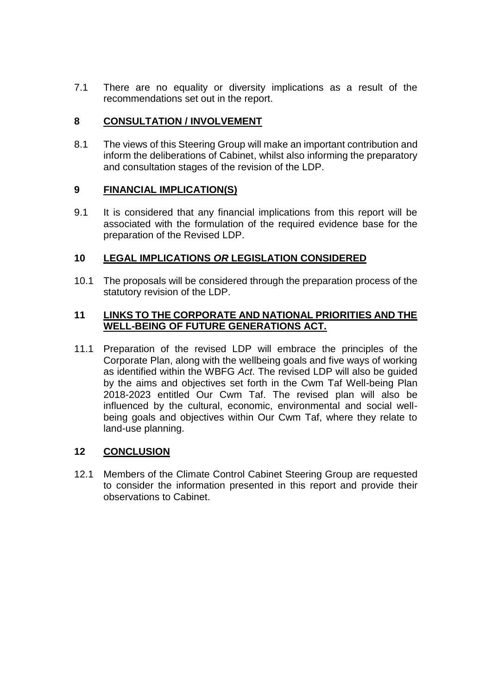7.1 There are no equality or diversity implications as a result of the recommendations set out in the report.

# **8 CONSULTATION / INVOLVEMENT**

8.1 The views of this Steering Group will make an important contribution and inform the deliberations of Cabinet, whilst also informing the preparatory and consultation stages of the revision of the LDP.

## **9 FINANCIAL IMPLICATION(S)**

9.1 It is considered that any financial implications from this report will be associated with the formulation of the required evidence base for the preparation of the Revised LDP.

# **10 LEGAL IMPLICATIONS** *OR* **LEGISLATION CONSIDERED**

10.1 The proposals will be considered through the preparation process of the statutory revision of the LDP.

## **11 LINKS TO THE CORPORATE AND NATIONAL PRIORITIES AND THE WELL-BEING OF FUTURE GENERATIONS ACT.**

11.1 Preparation of the revised LDP will embrace the principles of the Corporate Plan, along with the wellbeing goals and five ways of working as identified within the WBFG *Act*. The revised LDP will also be guided by the aims and objectives set forth in the Cwm Taf Well-being Plan 2018-2023 entitled Our Cwm Taf. The revised plan will also be influenced by the cultural, economic, environmental and social wellbeing goals and objectives within Our Cwm Taf, where they relate to land-use planning.

# **12 CONCLUSION**

12.1 Members of the Climate Control Cabinet Steering Group are requested to consider the information presented in this report and provide their observations to Cabinet.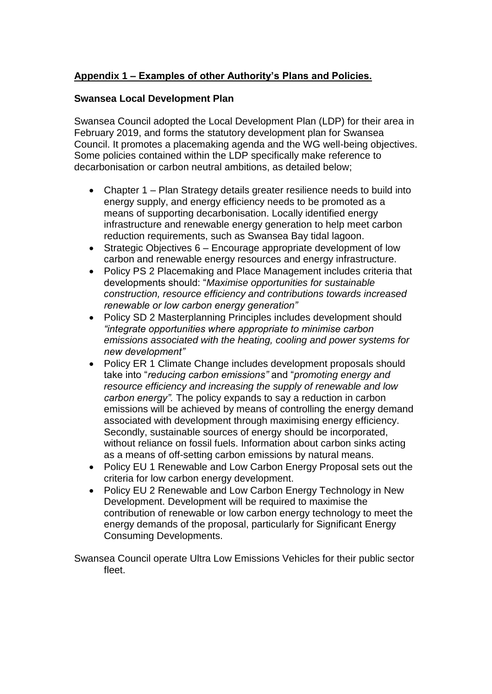# **Appendix 1 – Examples of other Authority's Plans and Policies.**

# **Swansea Local Development Plan**

Swansea Council adopted the Local Development Plan (LDP) for their area in February 2019, and forms the statutory development plan for Swansea Council. It promotes a placemaking agenda and the WG well-being objectives. Some policies contained within the LDP specifically make reference to decarbonisation or carbon neutral ambitions, as detailed below;

- Chapter 1 Plan Strategy details greater resilience needs to build into energy supply, and energy efficiency needs to be promoted as a means of supporting decarbonisation. Locally identified energy infrastructure and renewable energy generation to help meet carbon reduction requirements, such as Swansea Bay tidal lagoon.
- Strategic Objectives 6 Encourage appropriate development of low carbon and renewable energy resources and energy infrastructure.
- Policy PS 2 Placemaking and Place Management includes criteria that developments should: "*Maximise opportunities for sustainable construction, resource efficiency and contributions towards increased renewable or low carbon energy generation"*
- Policy SD 2 Masterplanning Principles includes development should *"integrate opportunities where appropriate to minimise carbon emissions associated with the heating, cooling and power systems for new development"*
- Policy ER 1 Climate Change includes development proposals should take into "*reducing carbon emissions"* and "*promoting energy and resource efficiency and increasing the supply of renewable and low carbon energy".* The policy expands to say a reduction in carbon emissions will be achieved by means of controlling the energy demand associated with development through maximising energy efficiency. Secondly, sustainable sources of energy should be incorporated, without reliance on fossil fuels. Information about carbon sinks acting as a means of off-setting carbon emissions by natural means.
- Policy EU 1 Renewable and Low Carbon Energy Proposal sets out the criteria for low carbon energy development.
- Policy EU 2 Renewable and Low Carbon Energy Technology in New Development. Development will be required to maximise the contribution of renewable or low carbon energy technology to meet the energy demands of the proposal, particularly for Significant Energy Consuming Developments.

Swansea Council operate Ultra Low Emissions Vehicles for their public sector fleet.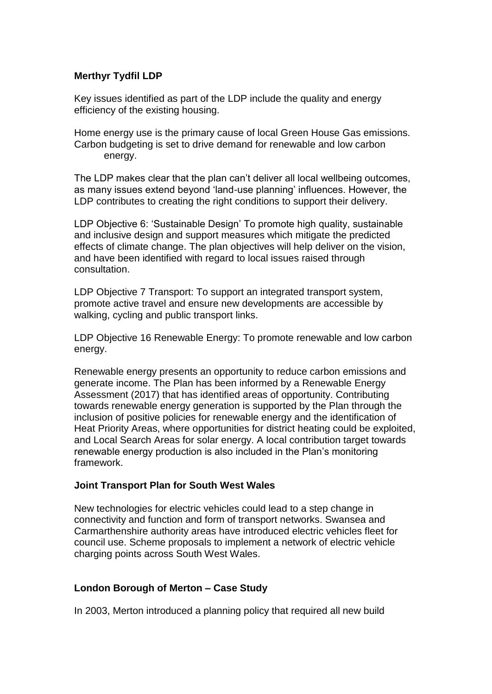# **Merthyr Tydfil LDP**

Key issues identified as part of the LDP include the quality and energy efficiency of the existing housing.

Home energy use is the primary cause of local Green House Gas emissions. Carbon budgeting is set to drive demand for renewable and low carbon energy.

The LDP makes clear that the plan can't deliver all local wellbeing outcomes, as many issues extend beyond 'land-use planning' influences. However, the LDP contributes to creating the right conditions to support their delivery.

LDP Objective 6: 'Sustainable Design' To promote high quality, sustainable and inclusive design and support measures which mitigate the predicted effects of climate change. The plan objectives will help deliver on the vision, and have been identified with regard to local issues raised through consultation.

LDP Objective 7 Transport: To support an integrated transport system, promote active travel and ensure new developments are accessible by walking, cycling and public transport links.

LDP Objective 16 Renewable Energy: To promote renewable and low carbon energy.

Renewable energy presents an opportunity to reduce carbon emissions and generate income. The Plan has been informed by a Renewable Energy Assessment (2017) that has identified areas of opportunity. Contributing towards renewable energy generation is supported by the Plan through the inclusion of positive policies for renewable energy and the identification of Heat Priority Areas, where opportunities for district heating could be exploited, and Local Search Areas for solar energy. A local contribution target towards renewable energy production is also included in the Plan's monitoring framework.

## **Joint Transport Plan for South West Wales**

New technologies for electric vehicles could lead to a step change in connectivity and function and form of transport networks. Swansea and Carmarthenshire authority areas have introduced electric vehicles fleet for council use. Scheme proposals to implement a network of electric vehicle charging points across South West Wales.

## **London Borough of Merton – Case Study**

In 2003, Merton introduced a planning policy that required all new build